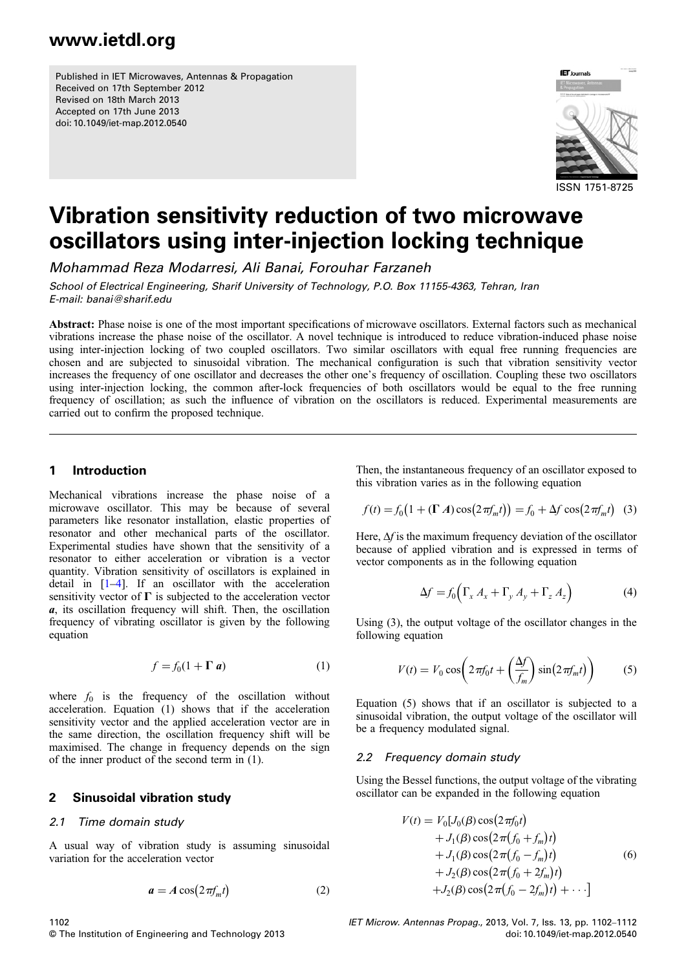Published in IET Microwaves, Antennas & Propagation Received on 17th September 2012 Revised on 18th March 2013 Accepted on 17th June 2013 doi: 10.1049/iet-map.2012.0540



# Vibration sensitivity reduction of two microwave oscillators using inter-injection locking technique

Mohammad Reza Modarresi, Ali Banai, Forouhar Farzaneh

School of Electrical Engineering, Sharif University of Technology, P.O. Box 11155-4363, Tehran, Iran E-mail: banai@sharif.edu

Abstract: Phase noise is one of the most important specifications of microwave oscillators. External factors such as mechanical vibrations increase the phase noise of the oscillator. A novel technique is introduced to reduce vibration-induced phase noise using inter-injection locking of two coupled oscillators. Two similar oscillators with equal free running frequencies are chosen and are subjected to sinusoidal vibration. The mechanical configuration is such that vibration sensitivity vector increases the frequency of one oscillator and decreases the other one's frequency of oscillation. Coupling these two oscillators using inter-injection locking, the common after-lock frequencies of both oscillators would be equal to the free running frequency of oscillation; as such the influence of vibration on the oscillators is reduced. Experimental measurements are carried out to confirm the proposed technique.

#### 1 Introduction

Mechanical vibrations increase the phase noise of a microwave oscillator. This may be because of several parameters like resonator installation, elastic properties of resonator and other mechanical parts of the oscillator. Experimental studies have shown that the sensitivity of a resonator to either acceleration or vibration is a vector quantity. Vibration sensitivity of oscillators is explained in detail in [1–4]. If an oscillator with the acceleration sensitivity vector of  $\Gamma$  is subjected to the acceleration vector a, its oscillation frequency will shift. Then, the oscillation frequency of vibrating oscillator is given by the following equation

$$
f = f_0(1 + \Gamma \, a) \tag{1}
$$

where  $f_0$  is the frequency of the oscillation without acceleration. Equation (1) shows that if the acceleration sensitivity vector and the applied acceleration vector are in the same direction, the oscillation frequency shift will be maximised. The change in frequency depends on the sign of the inner product of the second term in (1).

#### 2 Sinusoidal vibration study

#### 2.1 Time domain study

A usual way of vibration study is assuming sinusoidal variation for the acceleration vector

$$
a = A\cos(2\pi f_m t) \tag{2}
$$

Then, the instantaneous frequency of an oscillator exposed to this vibration varies as in the following equation

$$
f(t) = f_0(1 + (\Gamma A)\cos(2\pi f_m t)) = f_0 + \Delta f \cos(2\pi f_m t)
$$
 (3)

Here,  $\Delta f$  is the maximum frequency deviation of the oscillator because of applied vibration and is expressed in terms of vector components as in the following equation

$$
\Delta f = f_0 \left( \Gamma_x A_x + \Gamma_y A_y + \Gamma_z A_z \right) \tag{4}
$$

Using (3), the output voltage of the oscillator changes in the following equation

$$
V(t) = V_0 \cos\left(2\pi f_0 t + \left(\frac{\Delta f}{f_m}\right) \sin\left(2\pi f_m t\right)\right) \tag{5}
$$

Equation (5) shows that if an oscillator is subjected to a sinusoidal vibration, the output voltage of the oscillator will be a frequency modulated signal.

#### 2.2 Frequency domain study

Using the Bessel functions, the output voltage of the vibrating oscillator can be expanded in the following equation

$$
V(t) = V_0[J_0(\beta)\cos(2\pi f_0 t)+ J_1(\beta)\cos(2\pi (f_0 + f_m)t)+ J_1(\beta)\cos(2\pi (f_0 - f_m)t)+ J_2(\beta)\cos(2\pi (f_0 + 2f_m)t)+ J_2(\beta)\cos(2\pi (f_0 - 2f_m)t)+\cdots]
$$
(6)

IET Microw. Antennas Propag., 2013, Vol. 7, Iss. 13, pp. 1102–1112 doi: 10.1049/iet-map.2012.0540

© The Institution of Engineering and Technology 2013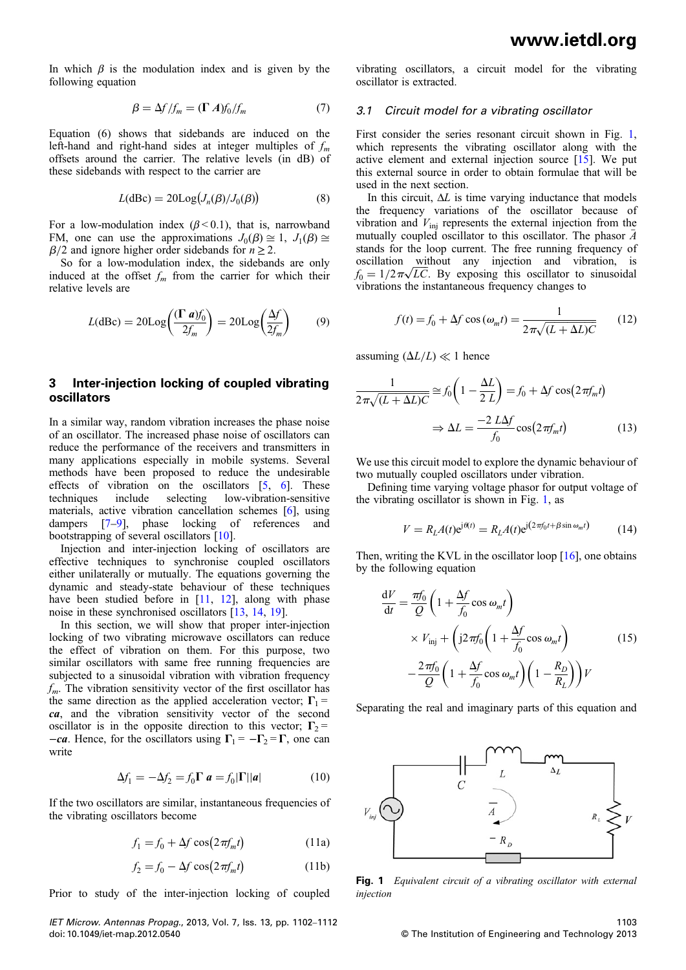In which  $\beta$  is the modulation index and is given by the following equation

$$
\beta = \Delta f / f_m = (\Gamma A) f_0 / f_m \tag{7}
$$

Equation (6) shows that sidebands are induced on the left-hand and right-hand sides at integer multiples of  $f_m$ offsets around the carrier. The relative levels (in dB) of these sidebands with respect to the carrier are

$$
L(dBc) = 20Log(J_n(\beta)/J_0(\beta))
$$
 (8)

For a low-modulation index ( $\beta$  < 0.1), that is, narrowband FM, one can use the approximations  $J_0(\beta) \cong 1$ ,  $J_1(\beta) \cong$  $\beta/2$  and ignore higher order sidebands for  $n \ge 2$ .

So for a low-modulation index, the sidebands are only induced at the offset  $f_m$  from the carrier for which their relative levels are

$$
L(d\text{Bc}) = 20\text{Log}\left(\frac{(\Gamma a)f_0}{2f_m}\right) = 20\text{Log}\left(\frac{\Delta f}{2f_m}\right) \tag{9}
$$

#### 3 Inter-injection locking of coupled vibrating oscillators

In a similar way, random vibration increases the phase noise of an oscillator. The increased phase noise of oscillators can reduce the performance of the receivers and transmitters in many applications especially in mobile systems. Several methods have been proposed to reduce the undesirable effects of vibration on the oscillators [5, 6]. These techniques include selecting low-vibration-sensitive materials, active vibration cancellation schemes [6], using dampers [7–9], phase locking of references and bootstrapping of several oscillators [10].

Injection and inter-injection locking of oscillators are effective techniques to synchronise coupled oscillators either unilaterally or mutually. The equations governing the dynamic and steady-state behaviour of these techniques have been studied before in [11, 12], along with phase noise in these synchronised oscillators [13, 14, 19].

In this section, we will show that proper inter-injection locking of two vibrating microwave oscillators can reduce the effect of vibration on them. For this purpose, two similar oscillators with same free running frequencies are subjected to a sinusoidal vibration with vibration frequency  $f<sub>m</sub>$ . The vibration sensitivity vector of the first oscillator has the same direction as the applied acceleration vector;  $\Gamma_1$  = ca, and the vibration sensitivity vector of the second oscillator is in the opposite direction to this vector;  $\Gamma_2$  =  $-ca$ . Hence, for the oscillators using  $\Gamma_1 = -\Gamma_2 = \Gamma$ , one can write

$$
\Delta f_1 = -\Delta f_2 = f_0 \Gamma \mathbf{a} = f_0 |\Gamma| |\mathbf{a}| \tag{10}
$$

If the two oscillators are similar, instantaneous frequencies of the vibrating oscillators become

$$
f_1 = f_0 + \Delta f \cos(2\pi f_m t) \tag{11a}
$$

$$
f_2 = f_0 - \Delta f \cos(2\pi f_m t) \tag{11b}
$$

Prior to study of the inter-injection locking of coupled

IET Microw. Antennas Propag., 2013, Vol. 7, Iss. 13, pp. 1102–1112 doi: 10.1049/iet-map.2012.0540

vibrating oscillators, a circuit model for the vibrating oscillator is extracted.

#### 3.1 Circuit model for a vibrating oscillator

First consider the series resonant circuit shown in Fig. 1, which represents the vibrating oscillator along with the active element and external injection source [15]. We put this external source in order to obtain formulae that will be used in the next section.

In this circuit,  $\Delta L$  is time varying inductance that models the frequency variations of the oscillator because of vibration and  $V_{\text{ini}}$  represents the external injection from the mutually coupled oscillator to this oscillator. The phasor  $\overline{A}$ stands for the loop current. The free running frequency of oscillation without any injection and vibration, is  $f_0 = 1/2\pi\sqrt{LC}$ . By exposing this oscillator to sinusoidal vibrations the instantaneous frequency changes to

$$
f(t) = f_0 + \Delta f \cos(\omega_m t) = \frac{1}{2\pi\sqrt{(L + \Delta L)C}} \qquad (12)
$$

assuming  $(\Delta L/L) \ll 1$  hence

$$
\frac{1}{2\pi\sqrt{(L+\Delta L)C}} \approx f_0 \left(1 - \frac{\Delta L}{2 L}\right) = f_0 + \Delta f \cos\left(2\pi f_m t\right)
$$

$$
\Rightarrow \Delta L = \frac{-2 L \Delta f}{f_0} \cos\left(2\pi f_m t\right) \tag{13}
$$

We use this circuit model to explore the dynamic behaviour of two mutually coupled oscillators under vibration.

Defining time varying voltage phasor for output voltage of the vibrating oscillator is shown in Fig. 1, as

$$
V = RLA(t)ej\theta(t) = RLA(t)ej(2\pi f_0 t + \beta \sin \omega_m t)
$$
 (14)

Then, writing the KVL in the oscillator loop  $[16]$ , one obtains by the following equation

$$
\frac{dV}{dt} = \frac{\pi f_0}{Q} \left( 1 + \frac{\Delta f}{f_0} \cos \omega_m t \right)
$$
  
 
$$
\times V_{\text{inj}} + \left( j2 \pi f_0 \left( 1 + \frac{\Delta f}{f_0} \cos \omega_m t \right) - \frac{2 \pi f_0}{Q} \left( 1 + \frac{\Delta f}{f_0} \cos \omega_m t \right) \left( 1 - \frac{R_D}{R_L} \right) \right) V
$$
(15)

Separating the real and imaginary parts of this equation and



Fig. 1 Equivalent circuit of a vibrating oscillator with external injection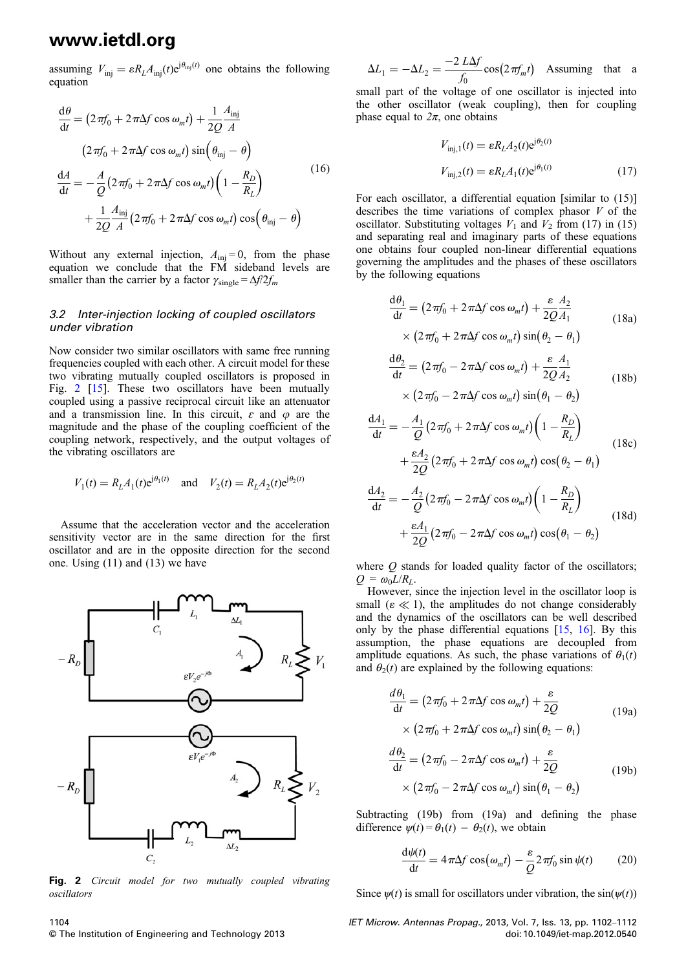assuming  $V_{\text{inj}} = \varepsilon R_L A_{\text{inj}}(t) e^{j\theta_{\text{inj}}(t)}$  one obtains the following equation

$$
\frac{d\theta}{dt} = (2\pi f_0 + 2\pi \Delta f \cos \omega_m t) + \frac{1}{2Q} \frac{A_{\text{inj}}}{A}
$$
  

$$
(2\pi f_0 + 2\pi \Delta f \cos \omega_m t) \sin(\theta_{\text{inj}} - \theta)
$$
  

$$
\frac{dA}{dt} = -\frac{A}{Q} (2\pi f_0 + 2\pi \Delta f \cos \omega_m t) \left(1 - \frac{R_D}{R_L}\right)
$$
  

$$
+ \frac{1}{2Q} \frac{A_{\text{inj}}}{A} (2\pi f_0 + 2\pi \Delta f \cos \omega_m t) \cos(\theta_{\text{inj}} - \theta)
$$
 (16)

Without any external injection,  $A_{\text{ini}} = 0$ , from the phase equation we conclude that the FM sideband levels are smaller than the carrier by a factor  $\gamma_{\text{single}} = \Delta f/2f_m$ 

#### 3.2 Inter-injection locking of coupled oscillators under vibration

Now consider two similar oscillators with same free running frequencies coupled with each other. A circuit model for these two vibrating mutually coupled oscillators is proposed in Fig. 2 [15]. These two oscillators have been mutually coupled using a passive reciprocal circuit like an attenuator and a transmission line. In this circuit,  $\varepsilon$  and  $\varphi$  are the magnitude and the phase of the coupling coefficient of the coupling network, respectively, and the output voltages of the vibrating oscillators are

$$
V_1(t) = R_L A_1(t) e^{j\theta_1(t)}
$$
 and  $V_2(t) = R_L A_2(t) e^{j\theta_2(t)}$ 

Assume that the acceleration vector and the acceleration sensitivity vector are in the same direction for the first oscillator and are in the opposite direction for the second one. Using (11) and (13) we have



Fig. 2 Circuit model for two mutually coupled vibrating oscillators

 $\Delta L_1 = -\Delta L_2 = \frac{-2 \, L\Delta f}{f_0} \cos(2\pi f_m t)$  Assuming that a

small part of the voltage of one oscillator is injected into the other oscillator (weak coupling), then for coupling phase equal to  $2\pi$ , one obtains

$$
V_{\text{inj},1}(t) = \varepsilon R_L A_2(t) e^{j\theta_2(t)}
$$

$$
V_{\text{inj},2}(t) = \varepsilon R_L A_1(t) e^{j\theta_1(t)}
$$
(17)

For each oscillator, a differential equation [similar to (15)] describes the time variations of complex phasor  $V$  of the oscillator. Substituting voltages  $V_1$  and  $V_2$  from (17) in (15) and separating real and imaginary parts of these equations one obtains four coupled non-linear differential equations governing the amplitudes and the phases of these oscillators by the following equations

$$
\frac{d\theta_1}{dt} = (2\pi f_0 + 2\pi \Delta f \cos \omega_m t) + \frac{\varepsilon A_2}{2Q A_1}
$$
  
×  $(2\pi f_0 + 2\pi \Delta f \cos \omega_m t) \sin(\theta_2 - \theta_1)$  (18a)

$$
\frac{d\theta_2}{dt} = (2\pi f_0 - 2\pi \Delta f \cos \omega_m t) + \frac{\varepsilon A_1}{2Q A_2}
$$
  
×  $(2\pi f_0 - 2\pi \Delta f \cos \omega_m t) \sin(\theta_1 - \theta_2)$  (18b)

$$
\frac{dA_1}{dt} = -\frac{A_1}{Q} \left( 2\pi f_0 + 2\pi \Delta f \cos \omega_m t \right) \left( 1 - \frac{R_D}{R_L} \right)
$$

$$
+ \frac{\varepsilon A_2}{2Q} \left( 2\pi f_0 + 2\pi \Delta f \cos \omega_m t \right) \cos \left( \theta_2 - \theta_1 \right)
$$
(18c)

$$
\frac{dA_2}{dt} = -\frac{A_2}{Q} \left( 2\pi f_0 - 2\pi \Delta f \cos \omega_m t \right) \left( 1 - \frac{R_D}{R_L} \right)
$$

$$
+ \frac{\varepsilon A_1}{2Q} \left( 2\pi f_0 - 2\pi \Delta f \cos \omega_m t \right) \cos \left( \theta_1 - \theta_2 \right)
$$
(18d)

where  $Q$  stands for loaded quality factor of the oscillators;  $Q = \omega_0 L / R_L$ .

However, since the injection level in the oscillator loop is small ( $\varepsilon \ll 1$ ), the amplitudes do not change considerably and the dynamics of the oscillators can be well described only by the phase differential equations [15, 16]. By this assumption, the phase equations are decoupled from amplitude equations. As such, the phase variations of  $\theta_1(t)$ and  $\theta_2(t)$  are explained by the following equations:

$$
\frac{d\theta_1}{dt} = (2\pi f_0 + 2\pi \Delta f \cos \omega_m t) + \frac{\varepsilon}{2Q}
$$
  
×  $(2\pi f_0 + 2\pi \Delta f \cos \omega_m t) \sin(\theta_2 - \theta_1)$  (19a)

$$
\frac{d\theta_2}{dt} = (2\pi f_0 - 2\pi \Delta f \cos \omega_m t) + \frac{\varepsilon}{2Q}
$$
  
×  $(2\pi f_0 - 2\pi \Delta f \cos \omega_m t) \sin(\theta_1 - \theta_2)$  (19b)

Subtracting (19b) from (19a) and defining the phase difference  $\psi(t) = \theta_1(t) - \theta_2(t)$ , we obtain

$$
\frac{d\psi(t)}{dt} = 4\pi\Delta f \cos(\omega_m t) - \frac{\varepsilon}{Q} 2\pi f_0 \sin \psi(t) \qquad (20)
$$

Since  $\psi(t)$  is small for oscillators under vibration, the sin( $\psi(t)$ )

IET Microw. Antennas Propag., 2013, Vol. 7, Iss. 13, pp. 1102–1112 doi: 10.1049/iet-map.2012.0540

1104 © The Institution of Engineering and Technology 2013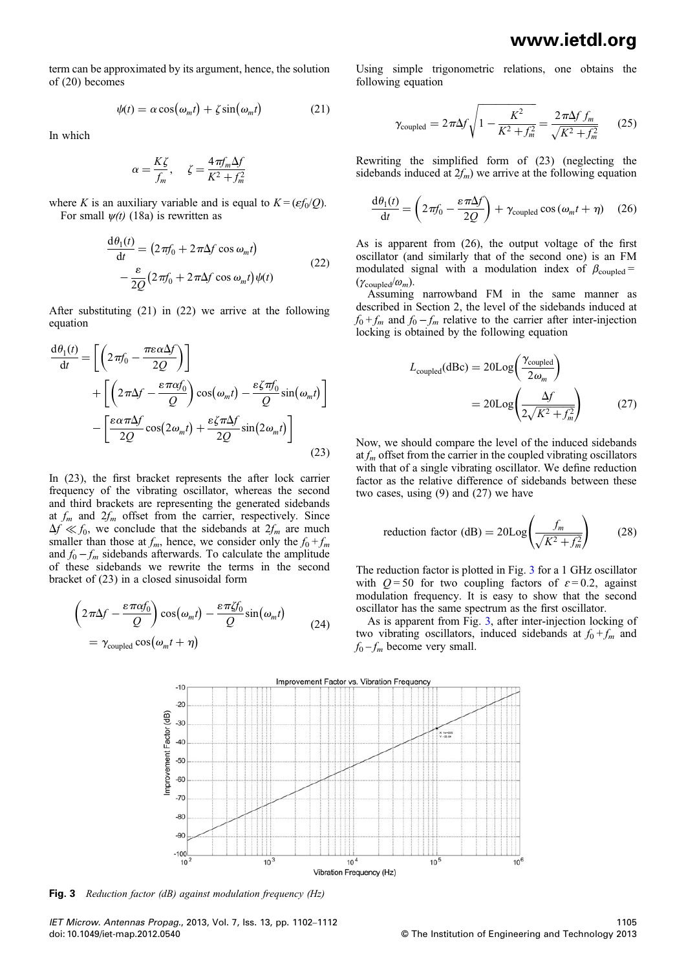term can be approximated by its argument, hence, the solution of (20) becomes

$$
\psi(t) = \alpha \cos(\omega_m t) + \zeta \sin(\omega_m t) \tag{21}
$$

In which

$$
\alpha = \frac{K\zeta}{f_m}, \quad \zeta = \frac{4\pi f_m \Delta f}{K^2 + f_m^2}
$$

where K is an auxiliary variable and is equal to  $K = (\varepsilon f_0/O)$ . For small  $\psi(t)$  (18a) is rewritten as

$$
\frac{d\theta_1(t)}{dt} = (2\pi f_0 + 2\pi \Delta f \cos \omega_m t)
$$
  

$$
-\frac{\varepsilon}{2Q} (2\pi f_0 + 2\pi \Delta f \cos \omega_m t) \psi(t)
$$
 (22)

After substituting (21) in (22) we arrive at the following equation

$$
\frac{d\theta_1(t)}{dt} = \left[ \left( 2\pi f_0 - \frac{\pi \varepsilon \alpha \Delta f}{2Q} \right) \right]
$$

$$
+ \left[ \left( 2\pi \Delta f - \frac{\varepsilon \pi \alpha f_0}{Q} \right) \cos(\omega_m t) - \frac{\varepsilon \zeta \pi f_0}{Q} \sin(\omega_m t) \right]
$$

$$
- \left[ \frac{\varepsilon \alpha \pi \Delta f}{2Q} \cos(2\omega_m t) + \frac{\varepsilon \zeta \pi \Delta f}{2Q} \sin(2\omega_m t) \right]
$$
(23)

In (23), the first bracket represents the after lock carrier frequency of the vibrating oscillator, whereas the second and third brackets are representing the generated sidebands at  $f_m$  and  $2f_m$  offset from the carrier, respectively. Since  $\Delta f \ll f_0$ , we conclude that the sidebands at  $2f_m$  are much smaller than those at  $f_m$ , hence, we consider only the  $f_0 + f_m$ and  $f_0 - f_m$  sidebands afterwards. To calculate the amplitude of these sidebands we rewrite the terms in the second bracket of (23) in a closed sinusoidal form

$$
\left(2\pi\Delta f - \frac{\varepsilon\pi\alpha f_0}{Q}\right)\cos(\omega_m t) - \frac{\varepsilon\pi\zeta f_0}{Q}\sin(\omega_m t) \qquad (24)
$$

$$
= \gamma_{\text{coupled}}\cos(\omega_m t + \eta)
$$

Using simple trigonometric relations, one obtains the following equation

$$
\gamma_{\text{coupled}} = 2\pi \Delta f \sqrt{1 - \frac{K^2}{K^2 + f_m^2}} = \frac{2\pi \Delta f f_m}{\sqrt{K^2 + f_m^2}} \qquad (25)
$$

Rewriting the simplified form of (23) (neglecting the sidebands induced at  $2f_m$ ) we arrive at the following equation

$$
\frac{d\theta_1(t)}{dt} = \left(2\pi f_0 - \frac{\varepsilon \pi \Delta f}{2Q}\right) + \gamma_{\text{coupled}} \cos\left(\omega_m t + \eta\right) \quad (26)
$$

As is apparent from (26), the output voltage of the first oscillator (and similarly that of the second one) is an FM modulated signal with a modulation index of  $\beta_{\text{coupled}} =$  $(\gamma_{\text{coupled}}/\omega_m)$ .

Assuming narrowband FM in the same manner as described in Section 2, the level of the sidebands induced at  $f_0 + f_m$  and  $f_0 - f_m$  relative to the carrier after inter-injection locking is obtained by the following equation

$$
L_{\text{coupled}}(\text{dBc}) = 20 \text{Log}\left(\frac{\gamma_{\text{coupled}}}{2\omega_m}\right)
$$

$$
= 20 \text{Log}\left(\frac{\Delta f}{2\sqrt{K^2 + f_m^2}}\right) \tag{27}
$$

Now, we should compare the level of the induced sidebands at  $f_m$  offset from the carrier in the coupled vibrating oscillators with that of a single vibrating oscillator. We define reduction factor as the relative difference of sidebands between these two cases, using (9) and (27) we have

reduction factor (dB) = 
$$
20\text{Log}\left(\frac{f_m}{\sqrt{K^2 + f_m^2}}\right)
$$
 (28)

The reduction factor is plotted in Fig. 3 for a 1 GHz oscillator with  $Q = 50$  for two coupling factors of  $\varepsilon = 0.2$ , against modulation frequency. It is easy to show that the second oscillator has the same spectrum as the first oscillator.

As is apparent from Fig. 3, after inter-injection locking of two vibrating oscillators, induced sidebands at  $f_0 + f_m$  and  $f_0 - f_m$  become very small.



**Fig. 3** Reduction factor (dB) against modulation frequency (Hz)

IET Microw. Antennas Propag., 2013, Vol. 7, Iss. 13, pp. 1102–1112 doi: 10.1049/iet-map.2012.0540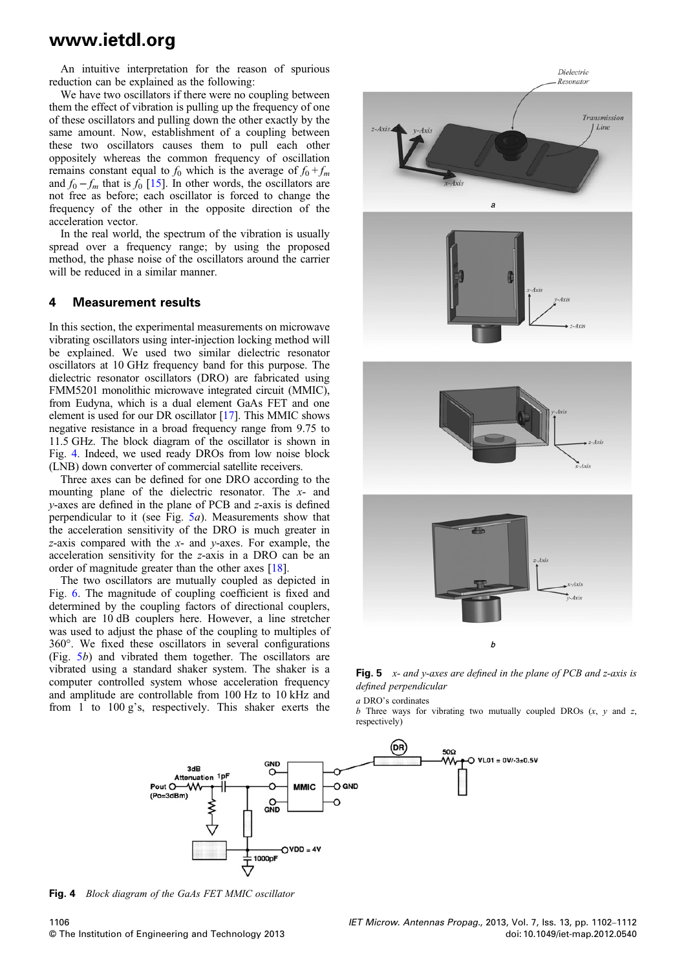An intuitive interpretation for the reason of spurious reduction can be explained as the following:

We have two oscillators if there were no coupling between them the effect of vibration is pulling up the frequency of one of these oscillators and pulling down the other exactly by the same amount. Now, establishment of a coupling between these two oscillators causes them to pull each other oppositely whereas the common frequency of oscillation remains constant equal to  $f_0$  which is the average of  $f_0 + f_m$ and  $f_0 - f_m$  that is  $f_0$  [15]. In other words, the oscillators are not free as before; each oscillator is forced to change the frequency of the other in the opposite direction of the acceleration vector.

In the real world, the spectrum of the vibration is usually spread over a frequency range; by using the proposed method, the phase noise of the oscillators around the carrier will be reduced in a similar manner.

#### 4 Measurement results

In this section, the experimental measurements on microwave vibrating oscillators using inter-injection locking method will be explained. We used two similar dielectric resonator oscillators at 10 GHz frequency band for this purpose. The dielectric resonator oscillators (DRO) are fabricated using FMM5201 monolithic microwave integrated circuit (MMIC), from Eudyna, which is a dual element GaAs FET and one element is used for our DR oscillator [17]. This MMIC shows negative resistance in a broad frequency range from 9.75 to 11.5 GHz. The block diagram of the oscillator is shown in Fig. 4. Indeed, we used ready DROs from low noise block (LNB) down converter of commercial satellite receivers.

Three axes can be defined for one DRO according to the mounting plane of the dielectric resonator. The x- and y-axes are defined in the plane of PCB and z-axis is defined perpendicular to it (see Fig.  $5a$ ). Measurements show that the acceleration sensitivity of the DRO is much greater in z-axis compared with the  $x$ - and  $y$ -axes. For example, the acceleration sensitivity for the z-axis in a DRO can be an order of magnitude greater than the other axes [18].

The two oscillators are mutually coupled as depicted in Fig. 6. The magnitude of coupling coefficient is fixed and determined by the coupling factors of directional couplers, which are 10 dB couplers here. However, a line stretcher was used to adjust the phase of the coupling to multiples of 360°. We fixed these oscillators in several configurations (Fig. 5b) and vibrated them together. The oscillators are vibrated using a standard shaker system. The shaker is a computer controlled system whose acceleration frequency and amplitude are controllable from 100 Hz to 10 kHz and from 1 to 100 g's, respectively. This shaker exerts the



Fig. 5  $x$ - and y-axes are defined in the plane of PCB and z-axis is defined perpendicular

a DRO's cordinates  $b$  Three ways for vibrating two mutually coupled DROs  $(x, y)$  and z, respectively)



Fig. 4 Block diagram of the GaAs FET MMIC oscillator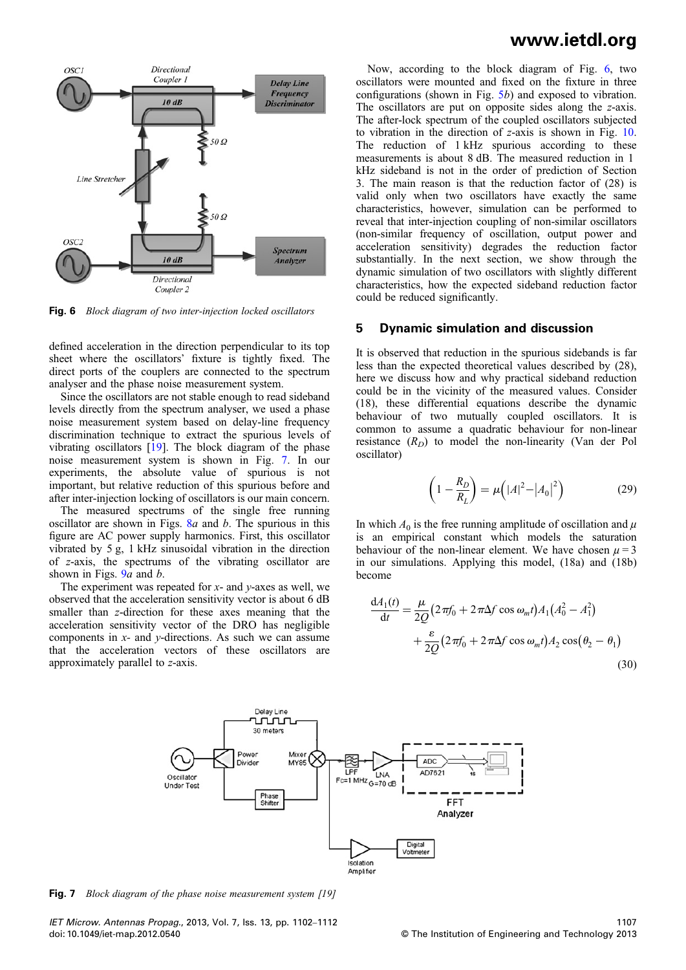

Fig. 6 Block diagram of two inter-injection locked oscillators

defined acceleration in the direction perpendicular to its top sheet where the oscillators' fixture is tightly fixed. The direct ports of the couplers are connected to the spectrum analyser and the phase noise measurement system.

Since the oscillators are not stable enough to read sideband levels directly from the spectrum analyser, we used a phase noise measurement system based on delay-line frequency discrimination technique to extract the spurious levels of vibrating oscillators [19]. The block diagram of the phase noise measurement system is shown in Fig. 7. In our experiments, the absolute value of spurious is not important, but relative reduction of this spurious before and after inter-injection locking of oscillators is our main concern.

The measured spectrums of the single free running oscillator are shown in Figs.  $8a$  and b. The spurious in this figure are AC power supply harmonics. First, this oscillator vibrated by 5 g, 1 kHz sinusoidal vibration in the direction of z-axis, the spectrums of the vibrating oscillator are shown in Figs.  $9a$  and b.

The experiment was repeated for  $x$ - and  $y$ -axes as well, we observed that the acceleration sensitivity vector is about 6 dB smaller than z-direction for these axes meaning that the acceleration sensitivity vector of the DRO has negligible components in  $x$ - and  $y$ -directions. As such we can assume that the acceleration vectors of these oscillators are approximately parallel to z-axis.

### www.ietdl.org

Now, according to the block diagram of Fig. 6, two oscillators were mounted and fixed on the fixture in three configurations (shown in Fig.  $5b$ ) and exposed to vibration. The oscillators are put on opposite sides along the z-axis. The after-lock spectrum of the coupled oscillators subjected to vibration in the direction of z-axis is shown in Fig. 10. The reduction of 1 kHz spurious according to these measurements is about 8 dB. The measured reduction in 1 kHz sideband is not in the order of prediction of Section 3. The main reason is that the reduction factor of (28) is valid only when two oscillators have exactly the same characteristics, however, simulation can be performed to reveal that inter-injection coupling of non-similar oscillators (non-similar frequency of oscillation, output power and acceleration sensitivity) degrades the reduction factor substantially. In the next section, we show through the dynamic simulation of two oscillators with slightly different characteristics, how the expected sideband reduction factor could be reduced significantly.

#### 5 Dynamic simulation and discussion

It is observed that reduction in the spurious sidebands is far less than the expected theoretical values described by (28), here we discuss how and why practical sideband reduction could be in the vicinity of the measured values. Consider (18), these differential equations describe the dynamic behaviour of two mutually coupled oscillators. It is common to assume a quadratic behaviour for non-linear resistance  $(R_D)$  to model the non-linearity (Van der Pol oscillator)

$$
\left(1 - \frac{R_D}{R_L}\right) = \mu \left(|A|^2 - |A_0|^2\right) \tag{29}
$$

In which  $A_0$  is the free running amplitude of oscillation and  $\mu$ is an empirical constant which models the saturation behaviour of the non-linear element. We have chosen  $\mu = 3$ in our simulations. Applying this model, (18a) and (18b) become

$$
\frac{dA_1(t)}{dt} = \frac{\mu}{2Q} \left( 2\pi f_0 + 2\pi \Delta f \cos \omega_m t \right) A_1 \left( A_0^2 - A_1^2 \right) \n+ \frac{\varepsilon}{2Q} \left( 2\pi f_0 + 2\pi \Delta f \cos \omega_m t \right) A_2 \cos \left( \theta_2 - \theta_1 \right)
$$
\n(30)



**Fig. 7** Block diagram of the phase noise measurement system [19]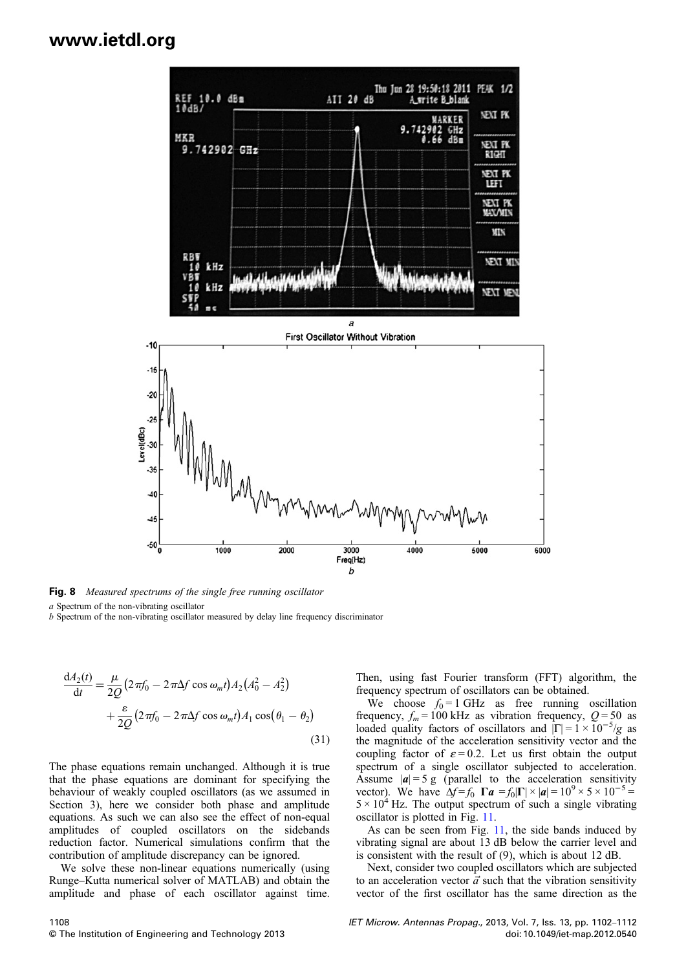

Fig. 8 Measured spectrums of the single free running oscillator

a Spectrum of the non-vibrating oscillator

b Spectrum of the non-vibrating oscillator measured by delay line frequency discriminator

$$
\frac{dA_2(t)}{dt} = \frac{\mu}{2Q} \left( 2\pi f_0 - 2\pi \Delta f \cos \omega_m t \right) A_2 \left( A_0^2 - A_2^2 \right)
$$

$$
+ \frac{\varepsilon}{2Q} \left( 2\pi f_0 - 2\pi \Delta f \cos \omega_m t \right) A_1 \cos \left( \theta_1 - \theta_2 \right)
$$
(31)

The phase equations remain unchanged. Although it is true that the phase equations are dominant for specifying the behaviour of weakly coupled oscillators (as we assumed in Section 3), here we consider both phase and amplitude equations. As such we can also see the effect of non-equal amplitudes of coupled oscillators on the sidebands reduction factor. Numerical simulations confirm that the contribution of amplitude discrepancy can be ignored.

We solve these non-linear equations numerically (using Runge–Kutta numerical solver of MATLAB) and obtain the amplitude and phase of each oscillator against time.

Then, using fast Fourier transform (FFT) algorithm, the frequency spectrum of oscillators can be obtained.

We choose  $f_0 = 1$  GHz as free running oscillation frequency,  $f_m = 100$  kHz as vibration frequency,  $Q = 50$  as loaded quality factors of oscillators and  $|\Gamma| = 1 \times 10^{-5}/g$  as the magnitude of the acceleration sensitivity vector and the coupling factor of  $\varepsilon = 0.2$ . Let us first obtain the output spectrum of a single oscillator subjected to acceleration. Assume  $|\mathbf{a}| = 5$  g (parallel to the acceleration sensitivity vector). We have  $\Delta f = f_0 \ \mathbf{\Gamma} \mathbf{a} = f_0 |\mathbf{\Gamma}| \times |\mathbf{a}| = 10^9 \times 5 \times 10^{-5} =$  $5 \times 10^4$  Hz. The output spectrum of such a single vibrating oscillator is plotted in Fig. 11.

As can be seen from Fig. 11, the side bands induced by vibrating signal are about 13 dB below the carrier level and is consistent with the result of (9), which is about 12 dB.

Next, consider two coupled oscillators which are subjected to an acceleration vector  $\vec{a}$  such that the vibration sensitivity vector of the first oscillator has the same direction as the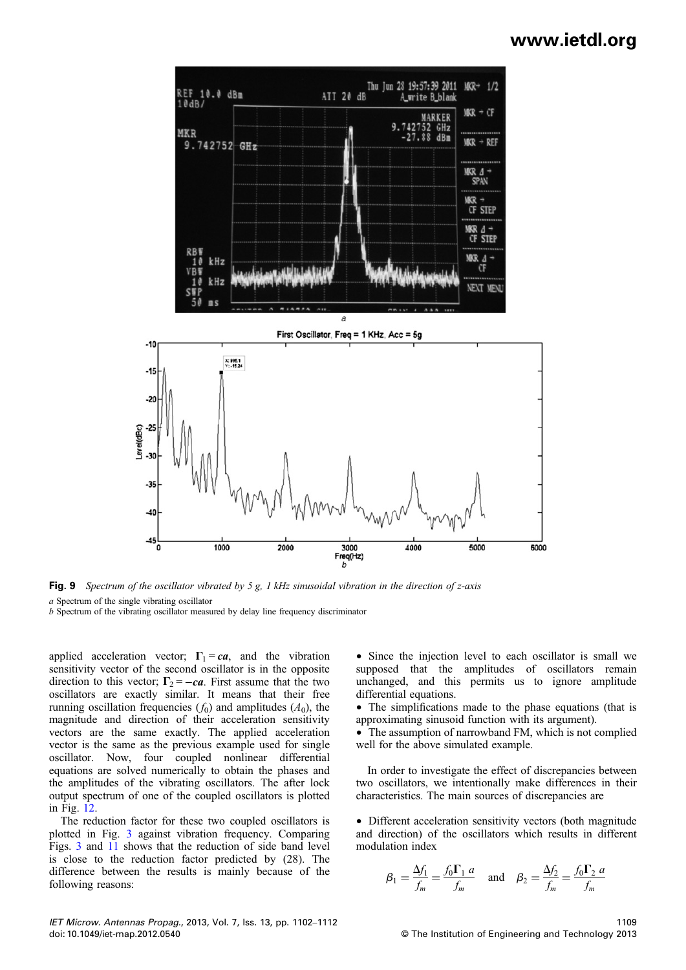

Fig. 9 Spectrum of the oscillator vibrated by 5 g, 1 kHz sinusoidal vibration in the direction of z-axis a Spectrum of the single vibrating oscillator

b Spectrum of the vibrating oscillator measured by delay line frequency discriminator

applied acceleration vector;  $\Gamma_1 = ca$ , and the vibration sensitivity vector of the second oscillator is in the opposite direction to this vector;  $\Gamma_2 = -ca$ . First assume that the two oscillators are exactly similar. It means that their free running oscillation frequencies  $(f_0)$  and amplitudes  $(A_0)$ , the magnitude and direction of their acceleration sensitivity vectors are the same exactly. The applied acceleration vector is the same as the previous example used for single oscillator. Now, four coupled nonlinear differential equations are solved numerically to obtain the phases and the amplitudes of the vibrating oscillators. The after lock output spectrum of one of the coupled oscillators is plotted in Fig. 12.

The reduction factor for these two coupled oscillators is plotted in Fig. 3 against vibration frequency. Comparing Figs. 3 and 11 shows that the reduction of side band level is close to the reduction factor predicted by (28). The difference between the results is mainly because of the following reasons:

• Since the injection level to each oscillator is small we supposed that the amplitudes of oscillators remain unchanged, and this permits us to ignore amplitude differential equations.

• The simplifications made to the phase equations (that is approximating sinusoid function with its argument).

• The assumption of narrowband FM, which is not complied well for the above simulated example.

In order to investigate the effect of discrepancies between two oscillators, we intentionally make differences in their characteristics. The main sources of discrepancies are

• Different acceleration sensitivity vectors (both magnitude and direction) of the oscillators which results in different modulation index

$$
\beta_1 = \frac{\Delta f_1}{f_m} = \frac{f_0 \Gamma_1 a}{f_m} \quad \text{and} \quad \beta_2 = \frac{\Delta f_2}{f_m} = \frac{f_0 \Gamma_2 a}{f_m}
$$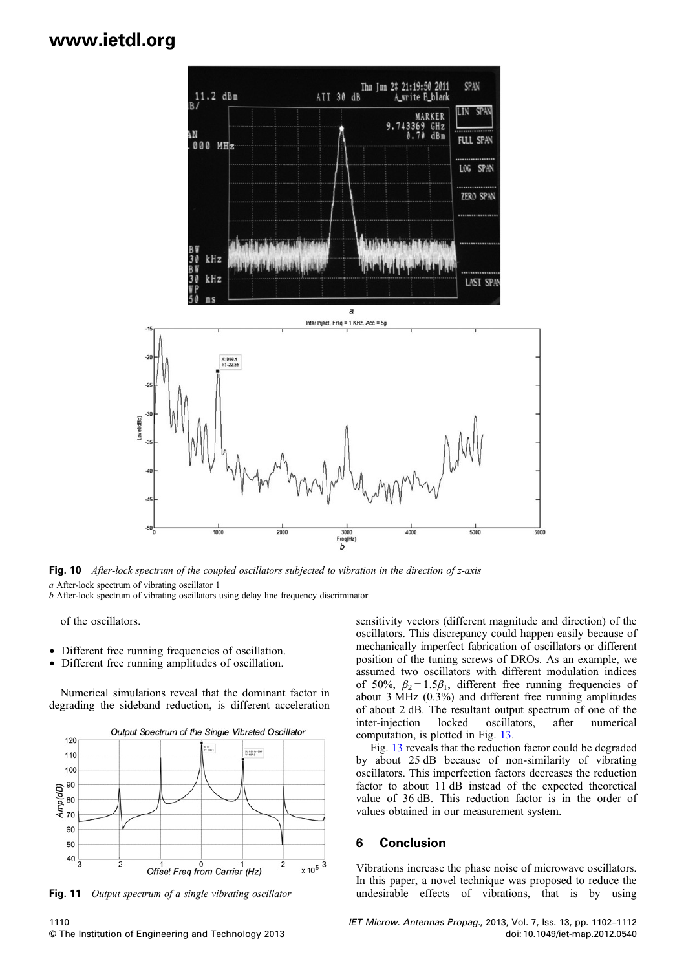

Fig. 10 After-lock spectrum of the coupled oscillators subjected to vibration in the direction of z-axis a After-lock spectrum of vibrating oscillator 1

b After-lock spectrum of vibrating oscillators using delay line frequency discriminator

of the oscillators.

- Different free running frequencies of oscillation.
- Different free running amplitudes of oscillation.

Numerical simulations reveal that the dominant factor in degrading the sideband reduction, is different acceleration



Fig. 11 Output spectrum of a single vibrating oscillator

1110 © The Institution of Engineering and Technology 2013 sensitivity vectors (different magnitude and direction) of the oscillators. This discrepancy could happen easily because of mechanically imperfect fabrication of oscillators or different position of the tuning screws of DROs. As an example, we assumed two oscillators with different modulation indices of 50%,  $\beta_2 = 1.5\beta_1$ , different free running frequencies of about 3 MHz (0.3%) and different free running amplitudes of about 2 dB. The resultant output spectrum of one of the inter-injection locked oscillators, after numerical computation, is plotted in Fig. 13.

Fig. 13 reveals that the reduction factor could be degraded by about 25 dB because of non-similarity of vibrating oscillators. This imperfection factors decreases the reduction factor to about 11 dB instead of the expected theoretical value of 36 dB. This reduction factor is in the order of values obtained in our measurement system.

#### 6 Conclusion

Vibrations increase the phase noise of microwave oscillators. In this paper, a novel technique was proposed to reduce the undesirable effects of vibrations, that is by using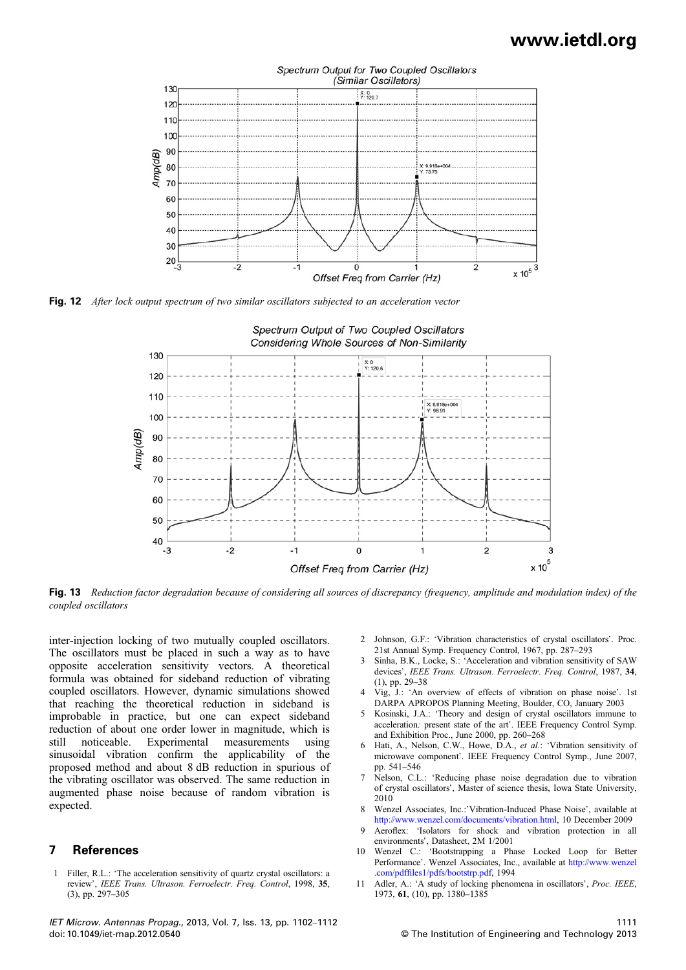

Fig. 12 After lock output spectrum of two similar oscillators subjected to an acceleration vector



Fig. 13 Reduction factor degradation because of considering all sources of discrepancy (frequency, amplitude and modulation index) of the coupled oscillators

inter-injection locking of two mutually coupled oscillators. The oscillators must be placed in such a way as to have opposite acceleration sensitivity vectors. A theoretical formula was obtained for sideband reduction of vibrating coupled oscillators. However, dynamic simulations showed that reaching the theoretical reduction in sideband is improbable in practice, but one can expect sideband reduction of about one order lower in magnitude, which is still noticeable. Experimental measurements using sinusoidal vibration confirm the applicability of the proposed method and about 8 dB reduction in spurious of the vibrating oscillator was observed. The same reduction in augmented phase noise because of random vibration is expected.

#### 7 References

1 Filler, R.L.: 'The acceleration sensitivity of quartz crystal oscillators: a review', IEEE Trans. Ultrason. Ferroelectr. Freq. Control, 1998, 35, (3), pp. 297–305

IET Microw. Antennas Propag., 2013, Vol. 7, Iss. 13, pp. 1102–1112 doi: 10.1049/iet-map.2012.0540

- 2 Johnson, G.F.: 'Vibration characteristics of crystal oscillators'. Proc. 21st Annual Symp. Frequency Control, 1967, pp. 287–293
- 3 Sinha, B.K., Locke, S.: 'Acceleration and vibration sensitivity of SAW devices', IEEE Trans. Ultrason. Ferroelectr. Freq. Control, 1987, 34, (1), pp. 29–38
- 4 Vig, J.: 'An overview of effects of vibration on phase noise'. 1st DARPA APROPOS Planning Meeting, Boulder, CO, January 2003
- 5 Kosinski, J.A.: 'Theory and design of crystal oscillators immune to acceleration: present state of the art'. IEEE Frequency Control Symp. and Exhibition Proc., June 2000, pp. 260–268
- 6 Hati, A., Nelson, C.W., Howe, D.A., et al.: 'Vibration sensitivity of microwave component'. IEEE Frequency Control Symp., June 2007, pp. 541–546
- 7 Nelson, C.L.: 'Reducing phase noise degradation due to vibration of crystal oscillators', Master of science thesis, Iowa State University, 2010
- 8 Wenzel Associates, Inc.:'Vibration-Induced Phase Noise', available at http://www.wenzel.com/documents/vibration.html, 10 December 2009
- 9 Aeroflex: 'Isolators for shock and vibration protection in all environments', Datasheet, 2M 1/2001
- 10 Wenzel C.: 'Bootstrapping a Phase Locked Loop for Better Performance'. Wenzel Associates, Inc., available at http://www.wenzel .com/pdffiles1/pdfs/bootstrp.pdf, 1994
- 11 Adler, A.: 'A study of locking phenomena in oscillators', Proc. IEEE, 1973, 61, (10), pp. 1380–1385